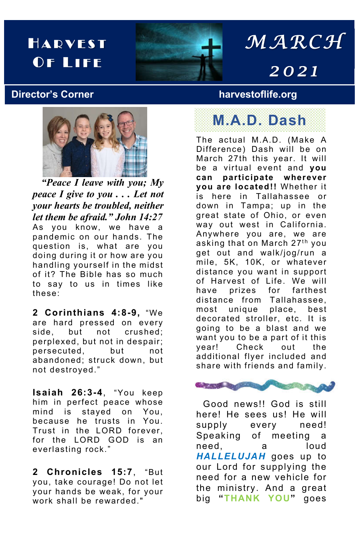## HARVEST OF LIFE



# *MARCH 202 1*

### **Director's Corner harvestoflife.org**



 *"Peace I leave with you; My peace I give to you . . . Let not your hearts be troubled, neither let them be afraid." John 14:27* As you know, we have a pandemic on our hands. The question is, what are you doing during it or how are you handling yourself in the midst of it? The Bible has so much to say to us in times like these:

**2 Corinthians 4:8-9,** "We are hard pressed on every side, but not crushed; perplexed, but not in despair; persecuted, but not abandoned; struck down, but not destroyed."

**Isaiah 26:3-4**, "You keep him in perfect peace whose<br>mind is staved on You. staved on You, because he trusts in You. Trust in the LORD forever, for the LORD GOD is an everlasting rock."

**2 Chronicles 15:7**, "But you, take courage! Do not let your hands be weak, for your work shall be rewarded."

**M.A.D. Dash**

The actual M.A.D. (Make A Difference) Dash will be on March 27th this year. It will be a virtual event and **you can participate wherever you are located!!** Whether it is here in Tallahassee or down in Tampa; up in the great state of Ohio, or even way out west in California. Anywhere you are, we are asking that on March 27<sup>th</sup> you get out and walk/jog/run a mile, 5K, 10K, or whatever distance you want in support of Harvest of Life. We will have prizes for farthest distance from Tallahassee, most unique place, best decorated stroller, etc. It is going to be a blast and we want you to be a part of it this year! Check out the additional flyer included and share with friends and family.



 Good news!! God is still here! He sees us! He will supply every need! Speaking of meeting a need, a loud *HALLELUJAH* goes up to our Lord for supplying the need for a new vehicle for the ministry. And a great big **"THANK YOU"** goes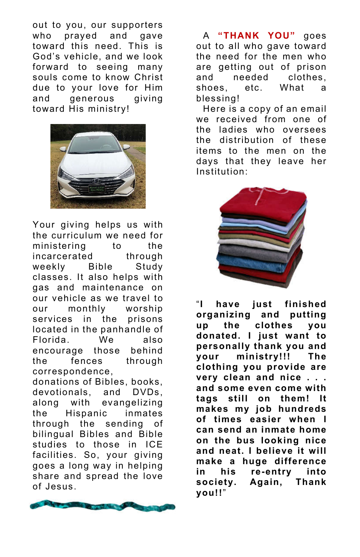out to you, our supporters who prayed and gave toward this need. This is God's vehicle, and we look forward to seeing many souls come to know Christ due to your love for Him and generous giving toward His ministry!



Your giving helps us with the curriculum we need for ministering to the incarcerated through weekly Bible Study classes. It also helps with gas and maintenance on our vehicle as we travel to our monthly worship services in the prisons located in the panhandle of Florida. We also encourage those behind the fences through correspondence,

donations of Bibles, books, devotionals, and DVDs, along with evangelizing the Hispanic inmates through the sending of bilingual Bibles and Bible studies to those in ICE facilities. So, your giving goes a long way in helping share and spread the love of Jesus.



 A **"THANK YOU"** goes out to all who gave toward the need for the men who are getting out of prison and needed clothes, shoes, etc. What a blessing!

 Here is a copy of an email we received from one of the ladies who oversees the distribution of these items to the men on the days that they leave her Institution:



"**I have just finished organizing and putting up the clothes you donated. I just want to personally thank you and your ministry!!! The clothing you provide are very clean and nice . . . and some even come with tags still on them! It makes my job hundreds of times easier when I can send an inmate home on the bus looking nice and neat. I believe it will make a huge difference in his re-entry into society. Again, Thank you!!**"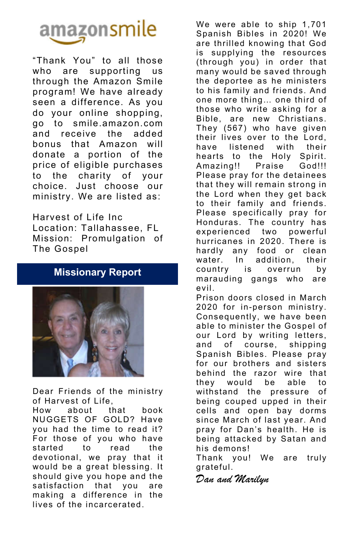

"Thank You" to all those who are supporting us through the Amazon Smile program! We have already seen a difference. As you do your online shopping, go to smile.amazon.com and receive the added bonus that Amazon will donate a portion of the price of eligible purchases to the charity of your choice. Just choose our ministry. We are listed as:

Harvest of Life Inc Location: Tallahassee, FL Mission: Promulgation of The Gospel

### **Missionary Report**



Dear Friends of the ministry of Harvest of Life,

How about that book NUGGETS OF GOLD? Have you had the time to read it? For those of you who have started to read the devotional, we pray that it would be a great blessing. It should give you hope and the satisfaction that you are making a difference in the lives of the incarcerated.

We were able to ship 1,701 Spanish Bibles in 2020! We are thrilled knowing that God is supplying the resources (through you) in order that many would be saved through the deportee as he ministers to his family and friends. And one more thing… one third of those who write asking for a Bible, are new Christians. They (567) who have given their lives over to the Lord, have listened with their hearts to the Holy Spirit. Amazing!! Praise God!!! Please pray for the detainees that they will remain strong in the Lord when they get back to their family and friends. Please specifically pray for Honduras. The country has experienced two powerful hurricanes in 2020. There is hardly any food or clean water. In addition, their country is overrun by marauding gangs who are evil.

Prison doors closed in March 2020 for in-person ministry. Consequently, we have been able to minister the Gospel of our Lord by writing letters, and of course, shipping Spanish Bibles. Please pray for our brothers and sisters behind the razor wire that they would be able to withstand the pressure of being couped upped in their cells and open bay dorms since March of last year. And pray for Dan's health. He is being attacked by Satan and his demons!

Thank you! We are truly grateful.

*Dan and Marilyn*